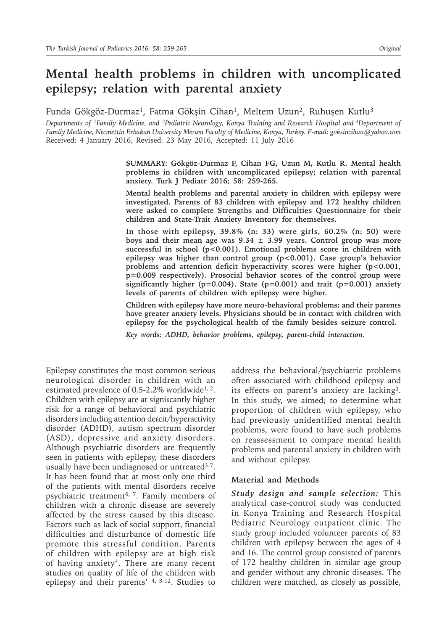# **Mental health problems in children with uncomplicated epilepsy; relation with parental anxiety**

Funda Gökgöz-Durmaz<sup>1</sup>, Fatma Gökşin Cihan<sup>1</sup>, Meltem Uzun<sup>2</sup>, Ruhuşen Kutlu<sup>3</sup>

*Departments of 1Family Medicine, and 2Pediatric Neurology, Konya Training and Research Hospital and 3Department of Family Medicine, Necmettin Erbakan University Meram Faculty of Medicine, Konya, Turkey. E-mail: goksincihan@yahoo.com* Received: 4 January 2016, Revised: 23 May 2016, Accepted: 11 July 2016

> **SUMMARY: Gökgöz-Durmaz F, Cihan FG, Uzun M, Kutlu R. Mental health problems in children with uncomplicated epilepsy; relation with parental anxiety. Turk J Pediatr 2016; 58: 259-265.**

> **Mental health problems and parental anxiety in children with epilepsy were investigated. Parents of 83 children with epilepsy and 172 healthy children were asked to complete Strengths and Difficulties Questionnaire for their children and State-Trait Anxiety Inventory for themselves.**

> **In those with epilepsy, 39.8% (n: 33) were girls, 60.2% (n: 50) were boys and their mean age was 9.34 ± 3.99 years. Control group was more successful in school (p<0.001). Emotional problems score in children with epilepsy was higher than control group (p<0.001). Case group's behavior problems and attention deficit hyperactivity scores were higher (p<0.001, p=0.009 respectively). Prosocial behavior scores of the control group were significantly higher (p=0.004). State (p=0.001) and trait (p=0.001) anxiety levels of parents of children with epilepsy were higher.**

> **Children with epilepsy have more neuro-behavioral problems; and their parents have greater anxiety levels. Physicians should be in contact with children with epilepsy for the psychological health of the family besides seizure control.**

*Key words: ADHD, behavior problems, epilepsy, parent-child interaction.*

Epilepsy constitutes the most common serious neurological disorder in children with an estimated prevalence of 0.5-2.2% worldwide<sup>1, 2</sup>. Children with epilepsy are at signiscantly higher risk for a range of behavioral and psychiatric disorders including attention dencit/hyperactivity disorder (ADHD), autism spectrum disorder (ASD), depressive and anxiety disorders. Although psychiatric disorders are frequently seen in patients with epilepsy, these disorders usually have been undiagnosed or untreated<sup>3-7</sup>. It has been found that at most only one third of the patients with mental disorders receive psychiatric treatment<sup>6, 7</sup>. Family members of children with a chronic disease are severely affected by the stress caused by this disease. Factors such as lack of social support, financial difficulties and disturbance of domestic life promote this stressful condition. Parents of children with epilepsy are at high risk of having anxiety<sup>4</sup>. There are many recent studies on quality of life of the children with epilepsy and their parents'  $4, 8-12$ . Studies to

address the behavioral/psychiatric problems often associated with childhood epilepsy and its effects on parent's anxiety are lacking3. In this study, we aimed; to determine what proportion of children with epilepsy, who had previously unidentified mental health problems, were found to have such problems on reassessment to compare mental health problems and parental anxiety in children with and without epilepsy.

#### **Material and Methods**

*Study design and sample selection:* This analytical case-control study was conducted in Konya Training and Research Hospital Pediatric Neurology outpatient clinic. The study group included volunteer parents of 83 children with epilepsy between the ages of 4 and 16. The control group consisted of parents of 172 healthy children in similar age group and gender without any chronic diseases. The children were matched, as closely as possible,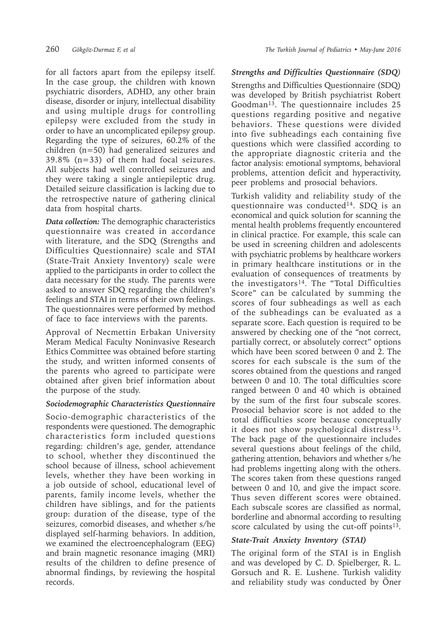for all factors apart from the epilepsy itself. In the case group, the children with known psychiatric disorders, ADHD, any other brain disease, disorder or injury, intellectual disability and using multiple drugs for controlling epilepsy were excluded from the study in order to have an uncomplicated epilepsy group. Regarding the type of seizures, 60.2% of the children (n=50) had generalized seizures and 39.8% (n=33) of them had focal seizures. All subjects had well controlled seizures and they were taking a single antiepileptic drug. Detailed seizure classification is lacking due to the retrospective nature of gathering clinical data from hospital charts.

*Data collection:* The demographic characteristics questionnaire was created in accordance with literature, and the SDQ (Strengths and Difficulties Questionnaire) scale and STAI (State-Trait Anxiety Inventory) scale were applied to the participants in order to collect the data necessary for the study. The parents were asked to answer SDQ regarding the children's feelings and STAI in terms of their own feelings. The questionnaires were performed by method of face to face interviews with the parents.

Approval of Necmettin Erbakan University Meram Medical Faculty Noninvasive Research Ethics Committee was obtained before starting the study, and written informed consents of the parents who agreed to participate were obtained after given brief information about the purpose of the study.

# *Sociodemographic Characteristics Questionnaire*

Socio-demographic characteristics of the respondents were questioned. The demographic characteristics form included questions regarding: children's age, gender, attendance to school, whether they discontinued the school because of illness, school achievement levels, whether they have been working in a job outside of school, educational level of parents, family income levels, whether the children have siblings, and for the patients group: duration of the disease, type of the seizures, comorbid diseases, and whether s/he displayed self-harming behaviors. In addition, we examined the electroencephalogram (EEG) and brain magnetic resonance imaging (MRI) results of the children to define presence of abnormal findings, by reviewing the hospital records.

# *Strengths and Difficulties Questionnaire (SDQ)*

Strengths and Difficulties Questionnaire (SDQ) was developed by British psychiatrist Robert Goodman<sup>13</sup>. The questionnaire includes 25 questions regarding positive and negative behaviors. These questions were divided into five subheadings each containing five questions which were classified according to the appropriate diagnostic criteria and the factor analysis: emotional symptoms, behavioral problems, attention deficit and hyperactivity, peer problems and prosocial behaviors.

Turkish validity and reliability study of the questionnaire was conducted<sup>14</sup>. SDO is an economical and quick solution for scanning the mental health problems frequently encountered in clinical practice. For example, this scale can be used in screening children and adolescents with psychiatric problems by healthcare workers in primary healthcare institutions or in the evaluation of consequences of treatments by the investigators<sup>14</sup>. The "Total Difficulties Score" can be calculated by summing the scores of four subheadings as well as each of the subheadings can be evaluated as a separate score. Each question is required to be answered by checking one of the "not correct, partially correct, or absolutely correct" options which have been scored between 0 and 2. The scores for each subscale is the sum of the scores obtained from the questions and ranged between 0 and 10. The total difficulties score ranged between 0 and 40 which is obtained by the sum of the first four subscale scores. Prosocial behavior score is not added to the total difficulties score because conceptually it does not show psychological distress<sup>15</sup>. The back page of the questionnaire includes several questions about feelings of the child, gathering attention, behaviors and whether s/he had problems ingetting along with the others. The scores taken from these questions ranged between 0 and 10, and give the impact score. Thus seven different scores were obtained. Each subscale scores are classified as normal, borderline and abnormal according to resulting score calculated by using the cut-off points $13$ .

# *State-Trait Anxiety Inventory (STAI)*

The original form of the STAI is in English and was developed by C. D. Spielberger, R. L. Gorsuch and R. E. Lushene. Turkish validity and reliability study was conducted by Öner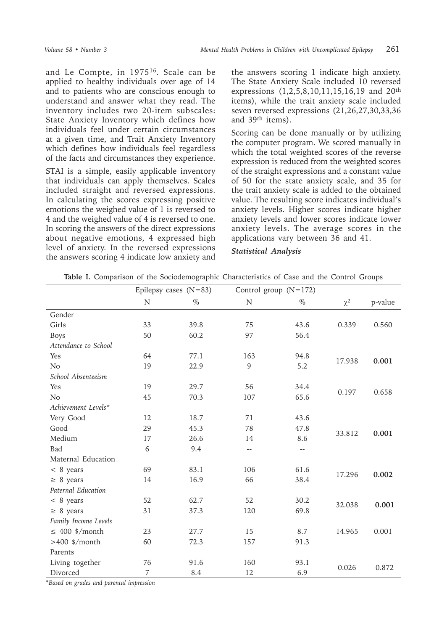and Le Compte, in 197516. Scale can be applied to healthy individuals over age of 14 and to patients who are conscious enough to understand and answer what they read. The inventory includes two 20-item subscales: State Anxiety Inventory which defines how individuals feel under certain circumstances at a given time, and Trait Anxiety Inventory which defines how individuals feel regardless of the facts and circumstances they experience.

STAI is a simple, easily applicable inventory that individuals can apply themselves. Scales included straight and reversed expressions. In calculating the scores expressing positive emotions the weighed value of 1 is reversed to 4 and the weighed value of 4 is reversed to one. In scoring the answers of the direct expressions about negative emotions, 4 expressed high level of anxiety. In the reversed expressions the answers scoring 4 indicate low anxiety and the answers scoring 1 indicate high anxiety. The State Anxiety Scale included 10 reversed expressions (1,2,5,8,10,11,15,16,19 and 20th items), while the trait anxiety scale included seven reversed expressions (21,26,27,30,33,36 and 39th items).

Scoring can be done manually or by utilizing the computer program. We scored manually in which the total weighted scores of the reverse expression is reduced from the weighted scores of the straight expressions and a constant value of 50 for the state anxiety scale, and 35 for the trait anxiety scale is added to the obtained value. The resulting score indicates individual's anxiety levels. Higher scores indicate higher anxiety levels and lower scores indicate lower anxiety levels. The average scores in the applications vary between 36 and 41.

#### *Statistical Analysis*

|                      | Epilepsy cases $(N=83)$ |      |                          | Control group $(N=172)$  |          |         |
|----------------------|-------------------------|------|--------------------------|--------------------------|----------|---------|
|                      | N                       | $\%$ | N                        | $\%$                     | $\chi^2$ | p-value |
| Gender               |                         |      |                          |                          |          |         |
| Girls                | 33                      | 39.8 | 75                       | 43.6                     | 0.339    | 0.560   |
| <b>Boys</b>          | 50                      | 60.2 | 97                       | 56.4                     |          |         |
| Attendance to School |                         |      |                          |                          |          |         |
| Yes                  | 64                      | 77.1 | 163                      | 94.8                     | 17.938   | 0.001   |
| No                   | 19                      | 22.9 | 9                        | 5.2                      |          |         |
| School Absenteeism   |                         |      |                          |                          |          |         |
| Yes                  | 19                      | 29.7 | 56                       | 34.4                     | 0.197    |         |
| N <sub>o</sub>       | 45                      | 70.3 | 107                      | 65.6                     |          | 0.658   |
| Achievement Levels*  |                         |      |                          |                          |          |         |
| Very Good            | 12                      | 18.7 | 71                       | 43.6                     |          |         |
| Good                 | 29                      | 45.3 | 78                       | 47.8                     | 33.812   | 0.001   |
| Medium               | 17                      | 26.6 | 14                       | 8.6                      |          |         |
| Bad                  | 6                       | 9.4  | $\overline{\phantom{m}}$ | $\overline{\phantom{m}}$ |          |         |
| Maternal Education   |                         |      |                          |                          |          |         |
| $< 8$ years          | 69                      | 83.1 | 106                      | 61.6                     | 17.296   | 0.002   |
| $\geq 8$ years       | 14                      | 16.9 | 66                       | 38.4                     |          |         |
| Paternal Education   |                         |      |                          |                          |          |         |
| $< 8$ years          | 52                      | 62.7 | 52                       | 30.2                     | 32.038   | 0.001   |
| $\geq 8$ years       | 31                      | 37.3 | 120                      | 69.8                     |          |         |
| Family Income Levels |                         |      |                          |                          |          |         |
| $\leq 400$ \$/month  | 23                      | 27.7 | 15                       | 8.7                      | 14.965   | 0.001   |
| $>400$ \$/month      | 60                      | 72.3 | 157                      | 91.3                     |          |         |
| Parents              |                         |      |                          |                          |          |         |
| Living together      | 76                      | 91.6 | 160                      | 93.1                     | 0.026    | 0.872   |
| Divorced             | 7                       | 8.4  | 12                       | 6.9                      |          |         |

**Table I.** Comparison of the Sociodemographic Characteristics of Case and the Control Groups

\**Based on grades and parental impression*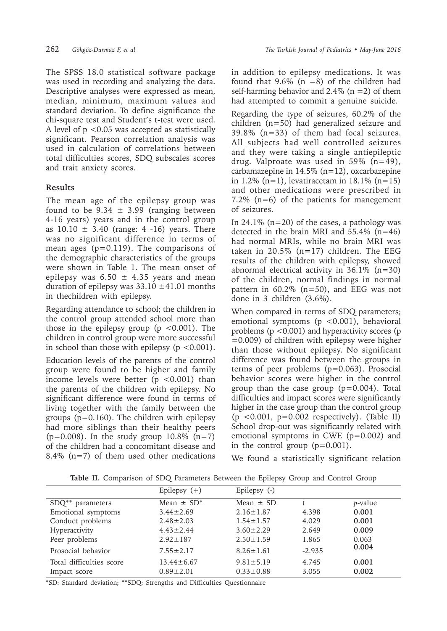The SPSS 18.0 statistical software package was used in recording and analyzing the data. Descriptive analyses were expressed as mean, median, minimum, maximum values and standard deviation. To define significance the chi-square test and Student's t-test were used. A level of p <0.05 was accepted as statistically significant. Pearson correlation analysis was used in calculation of correlations between total difficulties scores, SDQ subscales scores and trait anxiety scores.

## **Results**

The mean age of the epilepsy group was found to be  $9.34 \pm 3.99$  (ranging between 4-16 years) years and in the control group as  $10.10 \pm 3.40$  (range: 4 -16) years. There was no significant difference in terms of mean ages (p=0.119). The comparisons of the demographic characteristics of the groups were shown in Table 1. The mean onset of epilepsy was  $6.50 \pm 4.35$  years and mean duration of epilepsy was  $33.10 \pm 41.01$  months in thechildren with epilepsy.

Regarding attendance to school; the children in the control group attended school more than those in the epilepsy group ( $p < 0.001$ ). The children in control group were more successful in school than those with epilepsy  $(p < 0.001)$ .

Education levels of the parents of the control group were found to be higher and family income levels were better  $(p < 0.001)$  than the parents of the children with epilepsy. No significant difference were found in terms of living together with the family between the groups (p=0.160). The children with epilepsy had more siblings than their healthy peers ( $p=0.008$ ). In the study group 10.8% ( $n=7$ ) of the children had a concomitant disease and 8.4% ( $n=7$ ) of them used other medications

in addition to epilepsy medications. It was found that  $9.6\%$  (n =8) of the children had self-harming behavior and  $2.4\%$  (n = 2) of them had attempted to commit a genuine suicide.

Regarding the type of seizures, 60.2% of the children (n=50) had generalized seizure and 39.8% (n=33) of them had focal seizures. All subjects had well controlled seizures and they were taking a single antiepileptic drug. Valproate was used in  $59\%$  (n=49), carbamazepine in 14.5% (n=12), oxcarbazepine in 1.2% (n=1), levatiracetam in  $18.1\%$  (n=15) and other medications were prescribed in 7.2% ( $n=6$ ) of the patients for manegement of seizures.

In 24.1% ( $n=20$ ) of the cases, a pathology was detected in the brain MRI and  $55.4\%$  (n=46) had normal MRIs, while no brain MRI was taken in 20.5%  $(n=17)$  children. The EEG results of the children with epilepsy, showed abnormal electrical activity in 36.1% (n=30) of the children, normal findings in normal pattern in  $60.2\%$  (n=50), and EEG was not done in 3 children (3.6%).

When compared in terms of SDQ parameters; emotional symptoms (p <0.001), behavioral problems ( $p < 0.001$ ) and hyperactivity scores ( $p$ ) =0.009) of children with epilepsy were higher than those without epilepsy. No significant difference was found between the groups in terms of peer problems (p=0.063). Prosocial behavior scores were higher in the control group than the case group (p=0.004). Total difficulties and impact scores were significantly higher in the case group than the control group  $(p \le 0.001, p=0.002$  respectively). (Table II) School drop-out was significantly related with emotional symptoms in CWE (p=0.002) and in the control group  $(p=0.001)$ .

We found a statistically significant relation

|  |  | Table II. Comparison of SDQ Parameters Between the Epilepsy Group and Control Group |  |  |  |  |  |  |  |  |  |
|--|--|-------------------------------------------------------------------------------------|--|--|--|--|--|--|--|--|--|
|--|--|-------------------------------------------------------------------------------------|--|--|--|--|--|--|--|--|--|

|                          | Epilepsy $(+)$             | Epilepsy (-)    |                   |                 |
|--------------------------|----------------------------|-----------------|-------------------|-----------------|
| SDQ** parameters         | Mean $\pm$ SD <sup>*</sup> | Mean $\pm$ SD   | t                 | <i>p</i> -value |
| Emotional symptoms       | $3.44 \pm 2.69$            | $2.16 \pm 1.87$ | 4.398             | 0.001           |
| Conduct problems         | $2.48 \pm 2.03$            | $1.54 \pm 1.57$ | 4.029             | 0.001           |
| Hyperactivity            | $4.43 \pm 2.44$            | $3.60 \pm 2.29$ | 2.649             | 0.009           |
| Peer problems            | $2.92 \pm 187$             | $2.50 \pm 1.59$ | 1.865             | 0.063           |
| Prosocial behavior       | $7.55 \pm 2.17$            | $8.26 \pm 1.61$ | 0.004<br>$-2.935$ |                 |
| Total difficulties score | $13.44 \pm 6.67$           | $9.81 \pm 5.19$ | 4.745             | 0.001           |
| Impact score             | $0.89 \pm 2.01$            | $0.33 \pm 0.88$ | 3.055             | 0.002           |

\*SD: Standard deviation; \*\*SDQ: Strengths and Difficulties Questionnaire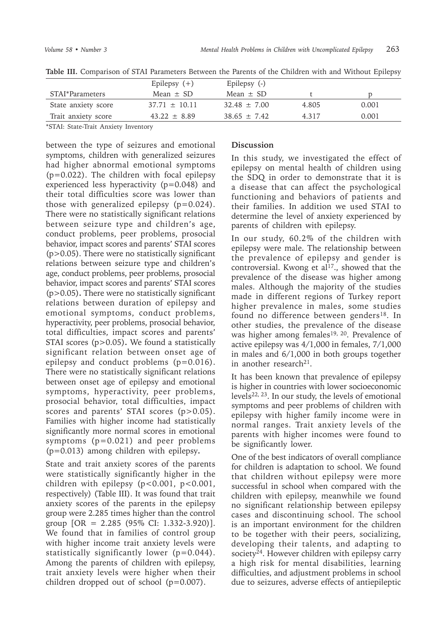|                     | Epilepsy $(+)$    | Epilepsy (-)   |         |       |
|---------------------|-------------------|----------------|---------|-------|
| STAI*Parameters     | Mean $+$ SD       | Mean $\pm$ SD  |         |       |
| State anxiety score | $37.71 \pm 10.11$ | $32.48 + 7.00$ | 4.805   | 0.001 |
| Trait anxiety score | $43.22 + 8.89$    | $38.65 + 7.42$ | 4 3 1 7 | 0.001 |

**Table III.** Comparison of STAI Parameters Between the Parents of the Children with and Without Epilepsy

\*STAI: State-Trait Anxiety Inventory

between the type of seizures and emotional symptoms, children with generalized seizures had higher abnormal emotional symptoms (p=0.022). The children with focal epilepsy experienced less hyperactivity (p=0.048) and their total difficulties score was lower than those with generalized epilepsy  $(p=0.024)$ . There were no statistically significant relations between seizure type and children's age, conduct problems, peer problems, prosocial behavior, impact scores and parents' STAI scores  $(p>0.05)$ . There were no statistically significant relations between seizure type and children's age, conduct problems, peer problems, prosocial behavior, impact scores and parents' STAI scores (p>0.05)**.** There were no statistically significant relations between duration of epilepsy and emotional symptoms, conduct problems, hyperactivity, peer problems, prosocial behavior, total difficulties, impact scores and parents' STAI scores (p>0.05)**.** We found a statistically significant relation between onset age of epilepsy and conduct problems (p=0.016). There were no statistically significant relations between onset age of epilepsy and emotional symptoms, hyperactivity, peer problems, prosocial behavior, total difficulties, impact scores and parents' STAI scores (p>0.05). Families with higher income had statistically significantly more normal scores in emotional symptoms (p=0.021) and peer problems (p=0.013) among children with epilepsy**.**

State and trait anxiety scores of the parents were statistically significantly higher in the children with epilepsy (p<0.001, p<0.001, respectively) (Table III). It was found that trait anxiety scores of the parents in the epilepsy group were 2.285 times higher than the control group [OR = 2.285 (95% CI: 1.332-3.920)]. We found that in families of control group with higher income trait anxiety levels were statistically significantly lower  $(p=0.044)$ . Among the parents of children with epilepsy, trait anxiety levels were higher when their children dropped out of school  $(p=0.007)$ .

## **Discussion**

In this study, we investigated the effect of epilepsy on mental health of children using the SDQ in order to demonstrate that it is a disease that can affect the psychological functioning and behaviors of patients and their families. In addition we used STAI to determine the level of anxiety experienced by parents of children with epilepsy.

In our study, 60.2% of the children with epilepsy were male. The relationship between the prevalence of epilepsy and gender is controversial. Kwong et al<sup>17</sup>., showed that the prevalence of the disease was higher among males. Although the majority of the studies made in different regions of Turkey report higher prevalence in males, some studies found no difference between genders<sup>18</sup>. In other studies, the prevalence of the disease was higher among females<sup>19, 20</sup>. Prevalence of active epilepsy was 4/1,000 in females, 7/1,000 in males and 6/1,000 in both groups together in another research<sup>21</sup>.

It has been known that prevalence of epilepsy is higher in countries with lower socioeconomic levels<sup>22, 23</sup>. In our study, the levels of emotional symptoms and peer problems of children with epilepsy with higher family income were in normal ranges. Trait anxiety levels of the parents with higher incomes were found to be significantly lower.

One of the best indicators of overall compliance for children is adaptation to school. We found that children without epilepsy were more successful in school when compared with the children with epilepsy, meanwhile we found no significant relationship between epilepsy cases and discontinuing school. The school is an important environment for the children to be together with their peers, socializing, developing their talents, and adapting to society<sup>24</sup>. However children with epilepsy carry a high risk for mental disabilities, learning difficulties, and adjustment problems in school due to seizures, adverse effects of antiepileptic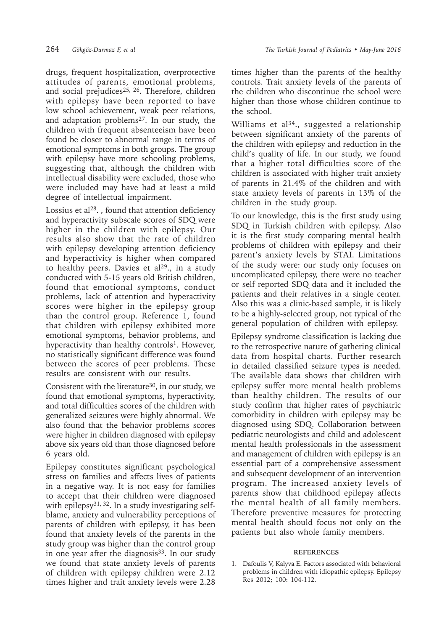drugs, frequent hospitalization, overprotective attitudes of parents, emotional problems, and social prejudices<sup>25, 26</sup>. Therefore, children with epilepsy have been reported to have low school achievement, weak peer relations, and adaptation problems<sup>27</sup>. In our study, the children with frequent absenteeism have been found be closer to abnormal range in terms of emotional symptoms in both groups. The group with epilepsy have more schooling problems, suggesting that, although the children with intellectual disability were excluded, those who were included may have had at least a mild degree of intellectual impairment.

Lossius et  $al^{28}$ ., found that attention deficiency and hyperactivity subscale scores of SDQ were higher in the children with epilepsy. Our results also show that the rate of children with epilepsy developing attention deficiency and hyperactivity is higher when compared to healthy peers. Davies et  $al^{29}$ ., in a study conducted with 5-15 years old British children, found that emotional symptoms, conduct problems, lack of attention and hyperactivity scores were higher in the epilepsy group than the control group. Reference 1, found that children with epilepsy exhibited more emotional symptoms, behavior problems, and hyperactivity than healthy controls<sup>1</sup>. However, no statistically significant difference was found between the scores of peer problems. These results are consistent with our results.

Consistent with the literature<sup>30</sup>, in our study, we found that emotional symptoms, hyperactivity, and total difficulties scores of the children with generalized seizures were highly abnormal. We also found that the behavior problems scores were higher in children diagnosed with epilepsy above six years old than those diagnosed before 6 years old.

Epilepsy constitutes significant psychological stress on families and affects lives of patients in a negative way. It is not easy for families to accept that their children were diagnosed with epilepsy<sup>31, 32</sup>. In a study investigating selfblame, anxiety and vulnerability perceptions of parents of children with epilepsy, it has been found that anxiety levels of the parents in the study group was higher than the control group in one year after the diagnosis $33$ . In our study we found that state anxiety levels of parents of children with epilepsy children were 2.12 times higher and trait anxiety levels were 2.28

times higher than the parents of the healthy controls. Trait anxiety levels of the parents of the children who discontinue the school were higher than those whose children continue to the school.

Williams et al<sup>34</sup>., suggested a relationship between significant anxiety of the parents of the children with epilepsy and reduction in the child's quality of life. In our study, we found that a higher total difficulties score of the children is associated with higher trait anxiety of parents in 21.4% of the children and with state anxiety levels of parents in 13% of the children in the study group.

To our knowledge, this is the first study using SDQ in Turkish children with epilepsy. Also it is the first study comparing mental health problems of children with epilepsy and their parent's anxiety levels by STAI. Limitations of the study were: our study only focuses on uncomplicated epilepsy, there were no teacher or self reported SDQ data and it included the patients and their relatives in a single center. Also this was a clinic-based sample, it is likely to be a highly-selected group, not typical of the general population of children with epilepsy.

Epilepsy syndrome classification is lacking due to the retrospective nature of gathering clinical data from hospital charts. Further research in detailed classified seizure types is needed. The available data shows that children with epilepsy suffer more mental health problems than healthy children. The results of our study confirm that higher rates of psychiatric comorbidity in children with epilepsy may be diagnosed using SDQ. Collaboration between pediatric neurologists and child and adolescent mental health professionals in the assessment and management of children with epilepsy is an essential part of a comprehensive assessment and subsequent development of an intervention program. The increased anxiety levels of parents show that childhood epilepsy affects the mental health of all family members. Therefore preventive measures for protecting mental health should focus not only on the patients but also whole family members.

#### **REFERENCES**

1. Dafoulis V, Kalyva E. Factors associated with behavioral problems in children with idiopathic epilepsy. Epilepsy Res 2012; 100: 104-112.